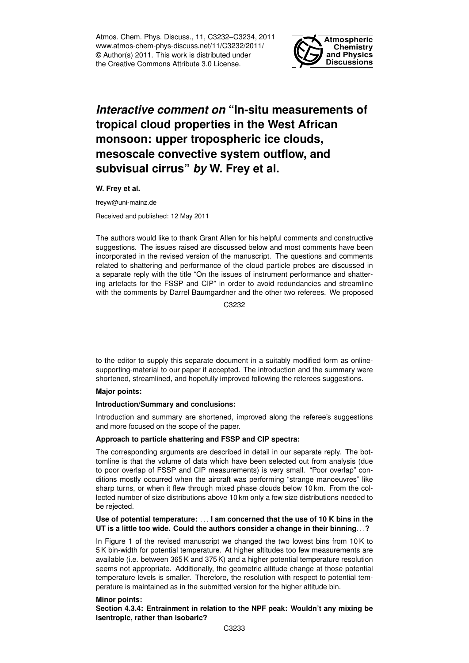Atmos. Chem. Phys. Discuss., 11, C3232–C3234, 2011 www.atmos-chem-phys-discuss.net/11/C3232/2011/ © Author(s) 2011. This work is distributed under the Creative Commons Attribute 3.0 License.



# *Interactive comment on* **"In-situ measurements of tropical cloud properties in the West African monsoon: upper tropospheric ice clouds, mesoscale convective system outflow, and subvisual cirrus"** *by* **W. Frey et al.**

**W. Frey et al.**

freyw@uni-mainz.de

Received and published: 12 May 2011

The authors would like to thank Grant Allen for his helpful comments and constructive suggestions. The issues raised are discussed below and most comments have been incorporated in the revised version of the manuscript. The questions and comments related to shattering and performance of the cloud particle probes are discussed in a separate reply with the title "On the issues of instrument performance and shattering artefacts for the FSSP and CIP" in order to avoid redundancies and streamline with the comments by Darrel Baumgardner and the other two referees. We proposed

C3232

to the editor to supply this separate document in a suitably modified form as onlinesupporting-material to our paper if accepted. The introduction and the summary were shortened, streamlined, and hopefully improved following the referees suggestions.

## **Major points:**

#### **Introduction/Summary and conclusions:**

Introduction and summary are shortened, improved along the referee's suggestions and more focused on the scope of the paper.

#### **Approach to particle shattering and FSSP and CIP spectra:**

The corresponding arguments are described in detail in our separate reply. The bottomline is that the volume of data which have been selected out from analysis (due to poor overlap of FSSP and CIP measurements) is very small. "Poor overlap" conditions mostly occurred when the aircraft was performing "strange manoeuvres" like sharp turns, or when it flew through mixed phase clouds below 10 km. From the collected number of size distributions above 10 km only a few size distributions needed to be rejected.

### **Use of potential temperature:** . . . **I am concerned that the use of 10 K bins in the UT is a little too wide. Could the authors consider a change in their binning**. . .**?**

In Figure 1 of the revised manuscript we changed the two lowest bins from 10 K to 5 K bin-width for potential temperature. At higher altitudes too few measurements are available (i.e. between 365 K and 375 K) and a higher potential temperature resolution seems not appropriate. Additionally, the geometric altitude change at those potential temperature levels is smaller. Therefore, the resolution with respect to potential temperature is maintained as in the submitted version for the higher altitude bin.

#### **Minor points:**

**Section 4.3.4: Entrainment in relation to the NPF peak: Wouldn't any mixing be isentropic, rather than isobaric?**